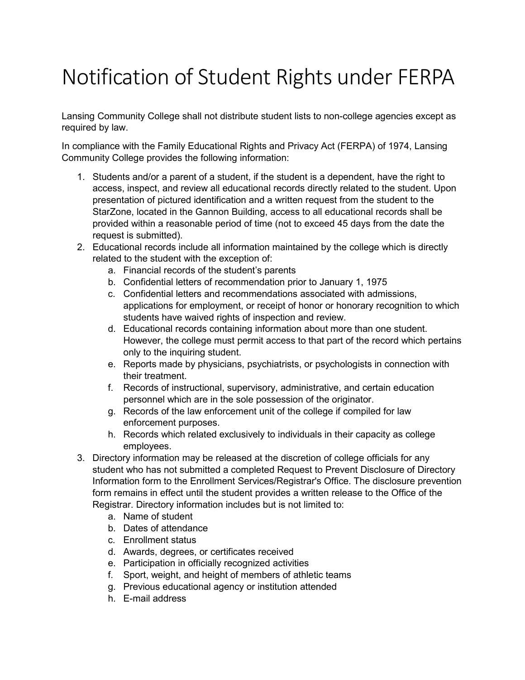## Notification of Student Rights under FERPA

Lansing Community College shall not distribute student lists to non-college agencies except as required by law.

In compliance with the Family Educational Rights and Privacy Act (FERPA) of 1974, Lansing Community College provides the following information:

- 1. Students and/or a parent of a student, if the student is a dependent, have the right to access, inspect, and review all educational records directly related to the student. Upon presentation of pictured identification and a written request from the student to the StarZone, located in the Gannon Building, access to all educational records shall be provided within a reasonable period of time (not to exceed 45 days from the date the request is submitted).
- 2. Educational records include all information maintained by the college which is directly related to the student with the exception of:
	- a. Financial records of the student's parents
	- b. Confidential letters of recommendation prior to January 1, 1975
	- c. Confidential letters and recommendations associated with admissions, applications for employment, or receipt of honor or honorary recognition to which students have waived rights of inspection and review.
	- d. Educational records containing information about more than one student. However, the college must permit access to that part of the record which pertains only to the inquiring student.
	- e. Reports made by physicians, psychiatrists, or psychologists in connection with their treatment.
	- f. Records of instructional, supervisory, administrative, and certain education personnel which are in the sole possession of the originator.
	- g. Records of the law enforcement unit of the college if compiled for law enforcement purposes.
	- h. Records which related exclusively to individuals in their capacity as college employees.
- 3. Directory information may be released at the discretion of college officials for any student who has not submitted a completed Request to Prevent Disclosure of Directory Information form to the Enrollment Services/Registrar's Office. The disclosure prevention form remains in effect until the student provides a written release to the Office of the Registrar. Directory information includes but is not limited to:
	- a. Name of student
	- b. Dates of attendance
	- c. Enrollment status
	- d. Awards, degrees, or certificates received
	- e. Participation in officially recognized activities
	- f. Sport, weight, and height of members of athletic teams
	- g. Previous educational agency or institution attended
	- h. E-mail address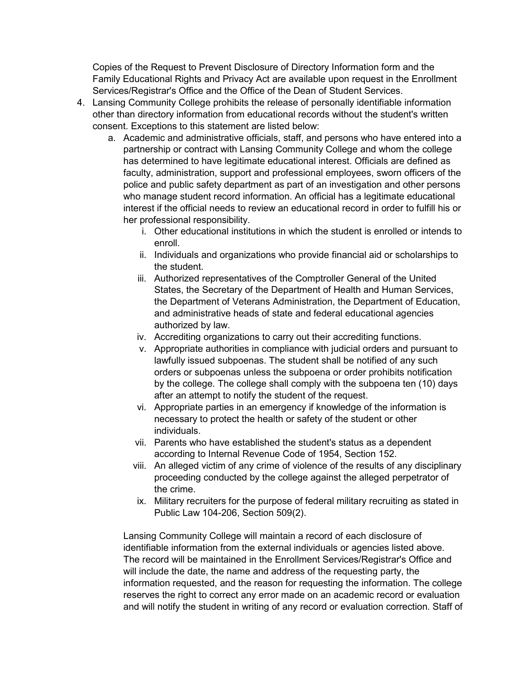Copies of the Request to Prevent Disclosure of Directory Information form and the Family Educational Rights and Privacy Act are available upon request in the Enrollment Services/Registrar's Office and the Office of the Dean of Student Services.

- 4. Lansing Community College prohibits the release of personally identifiable information other than directory information from educational records without the student's written consent. Exceptions to this statement are listed below:
	- a. Academic and administrative officials, staff, and persons who have entered into a partnership or contract with Lansing Community College and whom the college has determined to have legitimate educational interest. Officials are defined as faculty, administration, support and professional employees, sworn officers of the police and public safety department as part of an investigation and other persons who manage student record information. An official has a legitimate educational interest if the official needs to review an educational record in order to fulfill his or her professional responsibility.
		- i. Other educational institutions in which the student is enrolled or intends to enroll.
		- ii. Individuals and organizations who provide financial aid or scholarships to the student.
		- iii. Authorized representatives of the Comptroller General of the United States, the Secretary of the Department of Health and Human Services, the Department of Veterans Administration, the Department of Education, and administrative heads of state and federal educational agencies authorized by law.
		- iv. Accrediting organizations to carry out their accrediting functions.
		- v. Appropriate authorities in compliance with judicial orders and pursuant to lawfully issued subpoenas. The student shall be notified of any such orders or subpoenas unless the subpoena or order prohibits notification by the college. The college shall comply with the subpoena ten (10) days after an attempt to notify the student of the request.
		- vi. Appropriate parties in an emergency if knowledge of the information is necessary to protect the health or safety of the student or other individuals.
		- vii. Parents who have established the student's status as a dependent according to Internal Revenue Code of 1954, Section 152.
		- viii. An alleged victim of any crime of violence of the results of any disciplinary proceeding conducted by the college against the alleged perpetrator of the crime.
		- ix. Military recruiters for the purpose of federal military recruiting as stated in Public Law 104-206, Section 509(2).

Lansing Community College will maintain a record of each disclosure of identifiable information from the external individuals or agencies listed above. The record will be maintained in the Enrollment Services/Registrar's Office and will include the date, the name and address of the requesting party, the information requested, and the reason for requesting the information. The college reserves the right to correct any error made on an academic record or evaluation and will notify the student in writing of any record or evaluation correction. Staff of